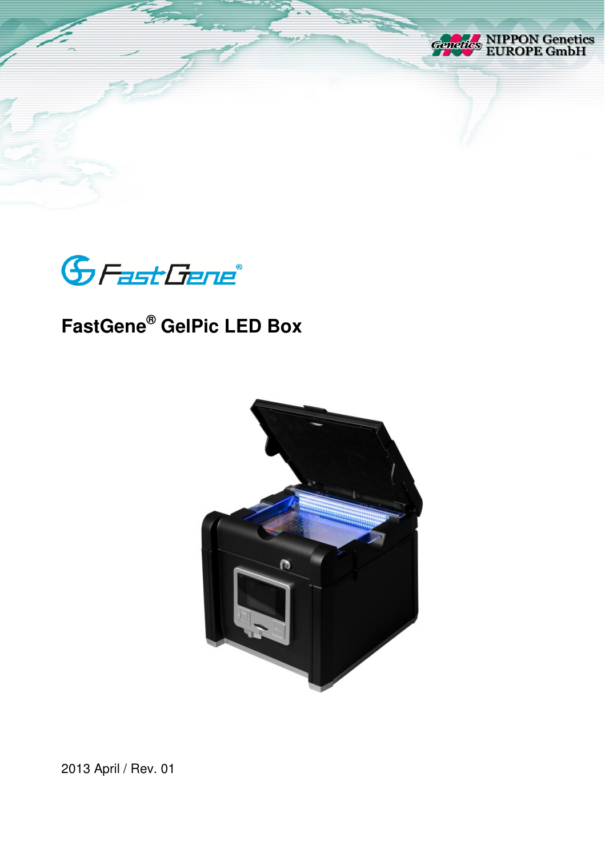



# **FastGene® GelPic LED Box**



2013 April / Rev. 01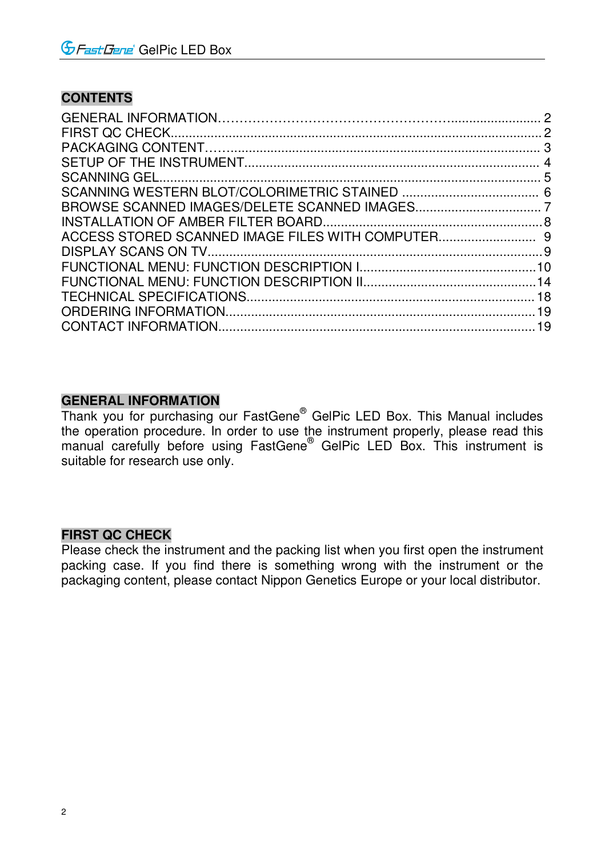## **CONTENTS**

#### **GENERAL INFORMATION**

Thank you for purchasing our FastGene® GelPic LED Box. This Manual includes the operation procedure. In order to use the instrument properly, please read this manual carefully before using FastGene<sup>®</sup> GelPic LED Box. This instrument is suitable for research use only.

#### **FIRST QC CHECK**

Please check the instrument and the packing list when you first open the instrument packing case. If you find there is something wrong with the instrument or the packaging content, please contact Nippon Genetics Europe or your local distributor.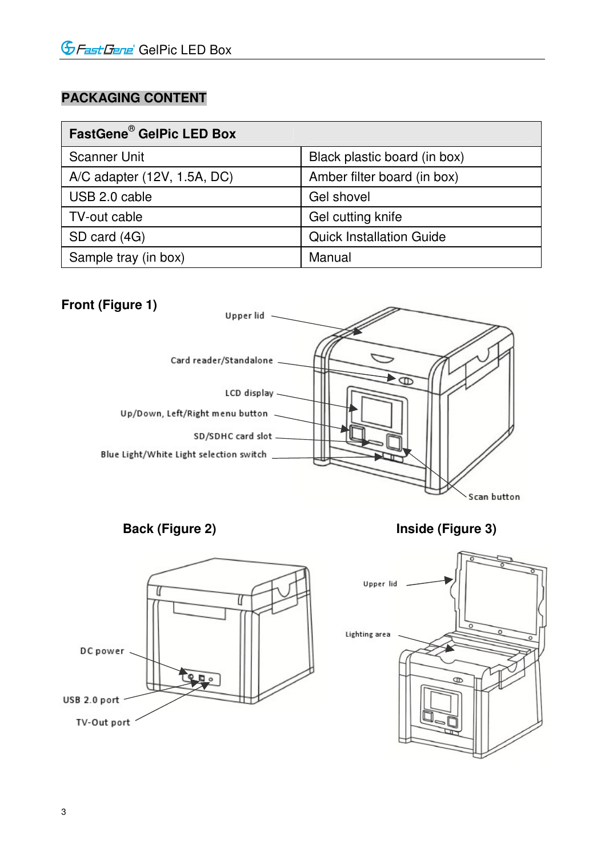## **PACKAGING CONTENT**

| FastGene <sup>®</sup> GelPic LED Box |                                 |
|--------------------------------------|---------------------------------|
| Scanner Unit                         | Black plastic board (in box)    |
| $A/C$ adapter $(12V, 1.5A, DC)$      | Amber filter board (in box)     |
| USB 2.0 cable                        | Gel shovel                      |
| TV-out cable                         | Gel cutting knife               |
| SD card (4G)                         | <b>Quick Installation Guide</b> |
| Sample tray (in box)                 | Manual                          |



**Back (Figure 2) Inside (Figure 3)** 



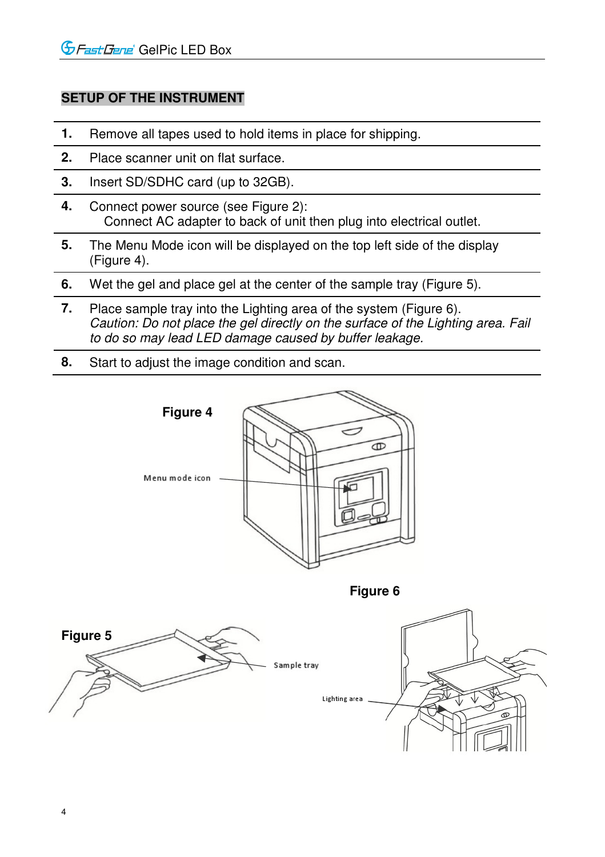## **SETUP OF THE INSTRUMENT**

- **1.** Remove all tapes used to hold items in place for shipping.
- **2.** Place scanner unit on flat surface.
- **3.** Insert SD/SDHC card (up to 32GB).
- **4.** Connect power source (see Figure 2): Connect AC adapter to back of unit then plug into electrical outlet.
- **5.** The Menu Mode icon will be displayed on the top left side of the display (Figure 4).
- **6.** Wet the gel and place gel at the center of the sample tray (Figure 5).
- **7.** Place sample tray into the Lighting area of the system (Figure 6). *Caution: Do not place the gel directly on the surface of the Lighting area. Fail to do so may lead LED damage caused by buffer leakage.*
- **8.** Start to adjust the image condition and scan.

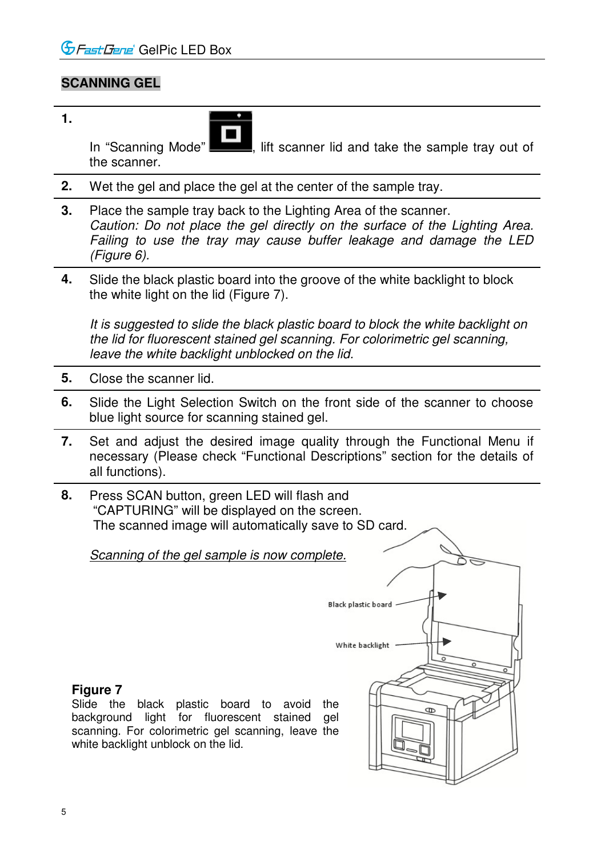## **SCANNING GEL**

**1.** 

the scanner.

In "Scanning Mode"  $\Box$ , lift scanner lid and take the sample tray out of

- **2.** Wet the gel and place the gel at the center of the sample tray.
- **3.** Place the sample tray back to the Lighting Area of the scanner. *Caution: Do not place the gel directly on the surface of the Lighting Area. Failing to use the tray may cause buffer leakage and damage the LED (Figure 6).*
- **4.** Slide the black plastic board into the groove of the white backlight to block the white light on the lid (Figure 7).

It is suggested to slide the black plastic board to block the white backlight on *the lid for fluorescent stained gel scanning. For colorimetric gel scanning, leave the white backlight unblocked on the lid.* 

- **5.** Close the scanner lid.
- **6.** Slide the Light Selection Switch on the front side of the scanner to choose blue light source for scanning stained gel.
- **7.** Set and adjust the desired image quality through the Functional Menu if necessary (Please check "Functional Descriptions" section for the details of all functions).
- **8.** Press SCAN button, green LED will flash and "CAPTURING" will be displayed on the screen. The scanned image will automatically save to SD card.

*Scanning of the gel sample is now complete.*

#### **Figure 7**

Slide the black plastic board to avoid the background light for fluorescent stained gel scanning. For colorimetric gel scanning, leave the white backlight unblock on the lid.

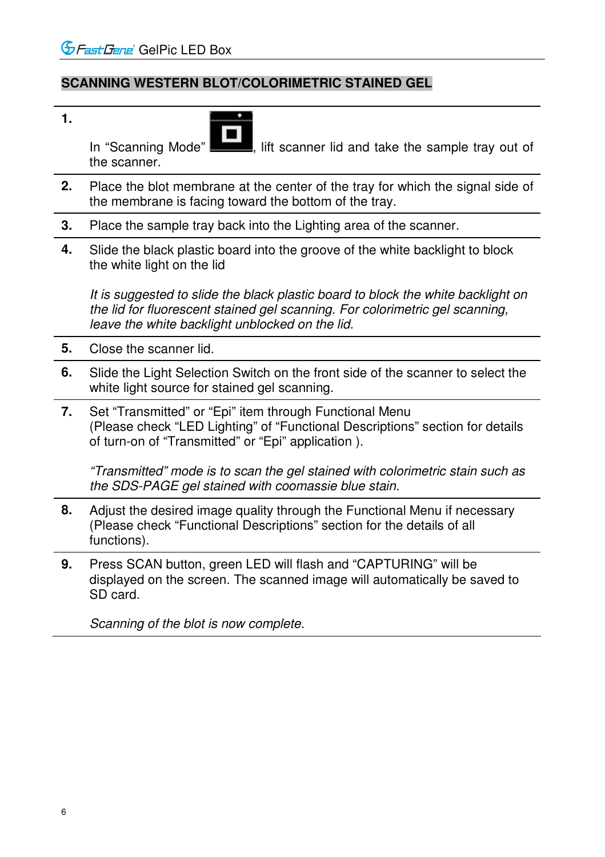## **SCANNING WESTERN BLOT/COLORIMETRIC STAINED GEL**

**1.** 

the scanner.

In "Scanning Mode"  $\Box$ , lift scanner lid and take the sample tray out of

- **2.** Place the blot membrane at the center of the tray for which the signal side of the membrane is facing toward the bottom of the tray.
- **3.** Place the sample tray back into the Lighting area of the scanner.
- **4.** Slide the black plastic board into the groove of the white backlight to block the white light on the lid

It is suggested to slide the black plastic board to block the white backlight on *the lid for fluorescent stained gel scanning. For colorimetric gel scanning, leave the white backlight unblocked on the lid.* 

- **5.** Close the scanner lid.
- **6.** Slide the Light Selection Switch on the front side of the scanner to select the white light source for stained gel scanning.
- **7.** Set "Transmitted" or "Epi" item through Functional Menu (Please check "LED Lighting" of "Functional Descriptions" section for details of turn-on of "Transmitted" or "Epi" application ).

*"Transmitted" mode is to scan the gel stained with colorimetric stain such as the SDS-PAGE gel stained with coomassie blue stain.*

- **8.** Adjust the desired image quality through the Functional Menu if necessary (Please check "Functional Descriptions" section for the details of all functions).
- **9.** Press SCAN button, green LED will flash and "CAPTURING" will be displayed on the screen. The scanned image will automatically be saved to SD card.

*Scanning of the blot is now complete.*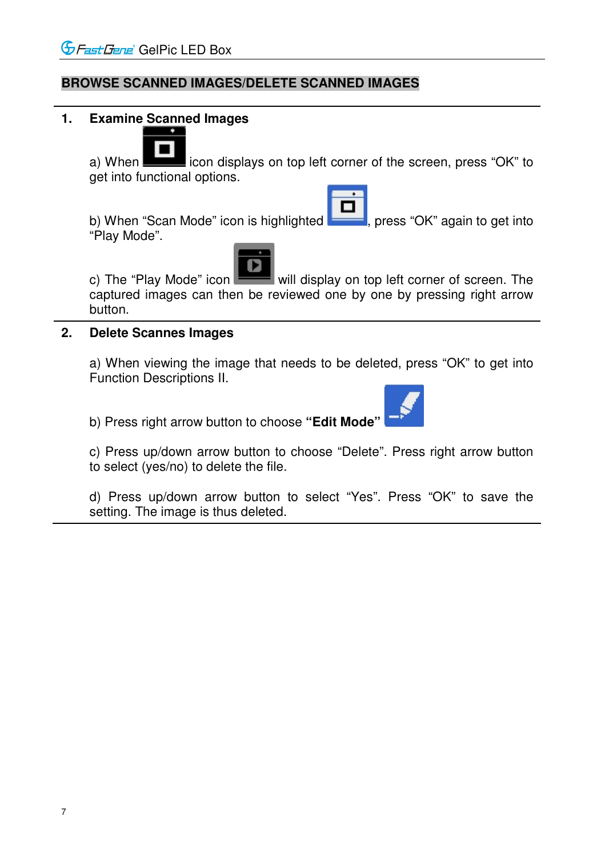## **BROWSE SCANNED IMAGES/DELETE SCANNED IMAGES**

#### **1. Examine Scanned Images**



a) When **includes** icon displays on top left corner of the screen, press "OK" to get into functional options.

b) When "Scan Mode" icon is highlighted  $\Box$ , press "OK" again to get into "Play Mode".



c) The "Play Mode" icon will display on top left corner of screen. The captured images can then be reviewed one by one by pressing right arrow button.

#### **2. Delete Scannes Images**

a) When viewing the image that needs to be deleted, press "OK" to get into Function Descriptions II.

b) Press right arrow button to choose "Edit Mode

c) Press up/down arrow button to choose "Delete". Press right arrow button to select (yes/no) to delete the file.

d) Press up/down arrow button to select "Yes". Press "OK" to save the setting. The image is thus deleted.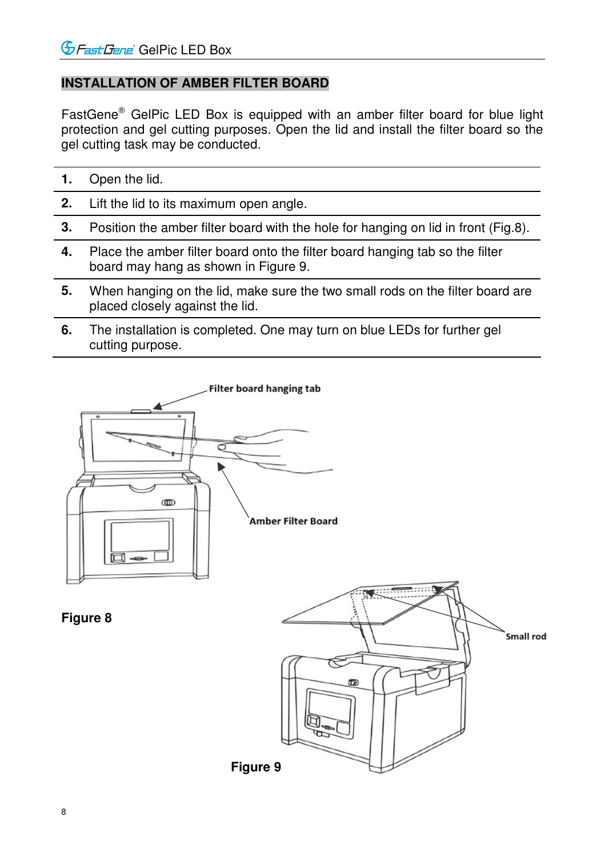## **INSTALLATION OF AMBER FILTER BOARD**

FastGene<sup>®</sup> GelPic LED Box is equipped with an amber filter board for blue light protection and gel cutting purposes. Open the lid and install the filter board so the gel cutting task may be conducted.

- **1.** Open the lid.
- **2.** Lift the lid to its maximum open angle.
- **3.** Position the amber filter board with the hole for hanging on lid in front (Fig.8).
- **4.** Place the amber filter board onto the filter board hanging tab so the filter board may hang as shown in Figure 9.
- **5.** When hanging on the lid, make sure the two small rods on the filter board are placed closely against the lid.
- **6.** The installation is completed. One may turn on blue LEDs for further gel cutting purpose.

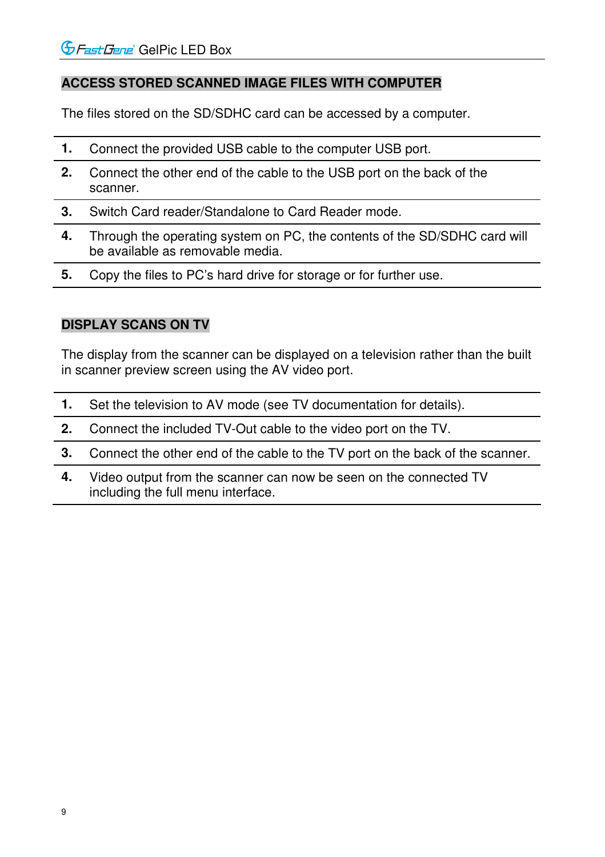## **ACCESS STORED SCANNED IMAGE FILES WITH COMPUTER**

The files stored on the SD/SDHC card can be accessed by a computer.

- **1.** Connect the provided USB cable to the computer USB port.
- **2.** Connect the other end of the cable to the USB port on the back of the scanner.
- **3.** Switch Card reader/Standalone to Card Reader mode.
- **4.** Through the operating system on PC, the contents of the SD/SDHC card will be available as removable media.
- **5.** Copy the files to PC's hard drive for storage or for further use.

## **DISPLAY SCANS ON TV**

The display from the scanner can be displayed on a television rather than the built in scanner preview screen using the AV video port.

- **1.** Set the television to AV mode (see TV documentation for details).
- **2.** Connect the included TV-Out cable to the video port on the TV.
- **3.** Connect the other end of the cable to the TV port on the back of the scanner.
- **4.** Video output from the scanner can now be seen on the connected TV including the full menu interface.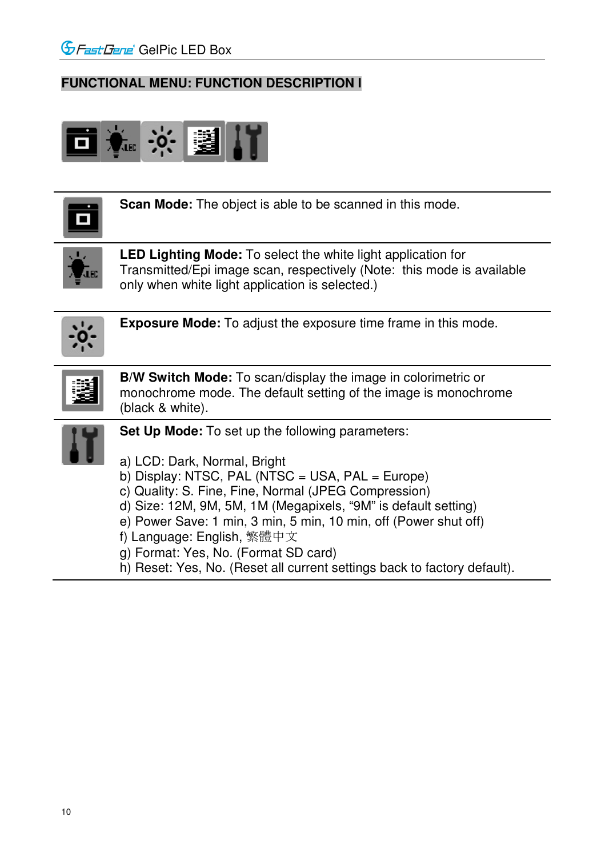## **FUNCTIONAL MENU: FUNCTION DESCRIPTION I**



**Scan Mode:** The object is able to be scanned in this mode.



**LED Lighting Mode:** To select the white light application for Transmitted/Epi image scan, respectively (Note: this mode is available only when white light application is selected.)



**Exposure Mode:** To adjust the exposure time frame in this mode.



**B/W Switch Mode:** To scan/display the image in colorimetric or monochrome mode. The default setting of the image is monochrome (black & white).



**Set Up Mode:** To set up the following parameters:

- a) LCD: Dark, Normal, Bright
- b) Display: NTSC, PAL (NTSC = USA, PAL = Europe)
- c) Quality: S. Fine, Fine, Normal (JPEG Compression)
- d) Size: 12M, 9M, 5M, 1M (Megapixels, "9M" is default setting)
- e) Power Save: 1 min, 3 min, 5 min, 10 min, off (Power shut off)
- f) Language: English, 繁體中文
- g) Format: Yes, No. (Format SD card)
- h) Reset: Yes, No. (Reset all current settings back to factory default).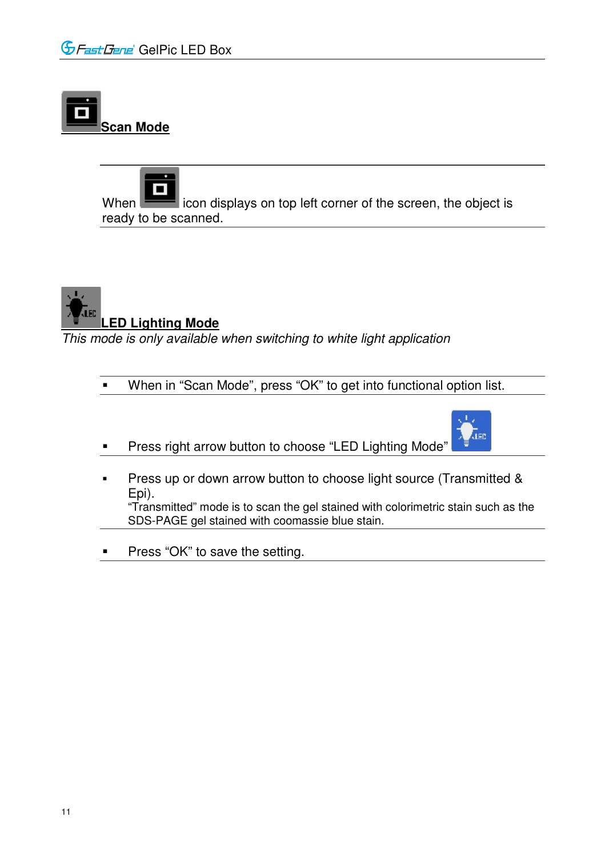

When  $\Box$  icon displays on top left corner of the screen, the object is ready to be scanned.



*This mode is only available when switching to white light application* 

- When in "Scan Mode", press "OK" to get into functional option list.
- Press right arrow button to choose "LED Lighting Mode"



**Press up or down arrow button to choose light source (Transmitted &** Epi).

"Transmitted" mode is to scan the gel stained with colorimetric stain such as the SDS-PAGE gel stained with coomassie blue stain.

Press "OK" to save the setting.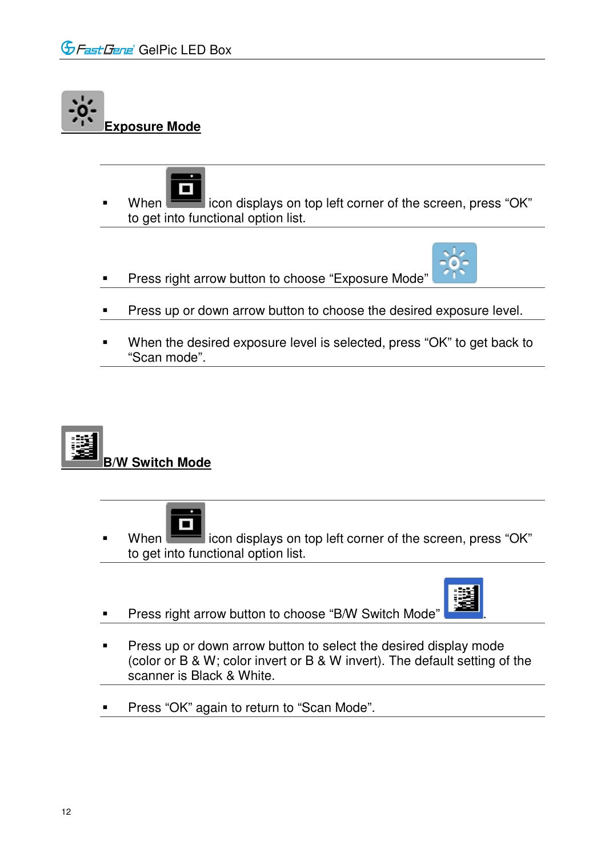



- When  $\blacksquare$  icon displays on top left corner of the screen, press "OK" to get into functional option list.
- Press right arrow button to choose "Exposure Mode"



- Press up or down arrow button to choose the desired exposure level.
- When the desired exposure level is selected, press "OK" to get back to "Scan mode".





- When incon displays on top left corner of the screen, press "OK" to get into functional option list.
- Press right arrow button to choose "B/W Switch Mode"
- Press up or down arrow button to select the desired display mode (color or B & W; color invert or B & W invert). The default setting of the scanner is Black & White.
- Press "OK" again to return to "Scan Mode".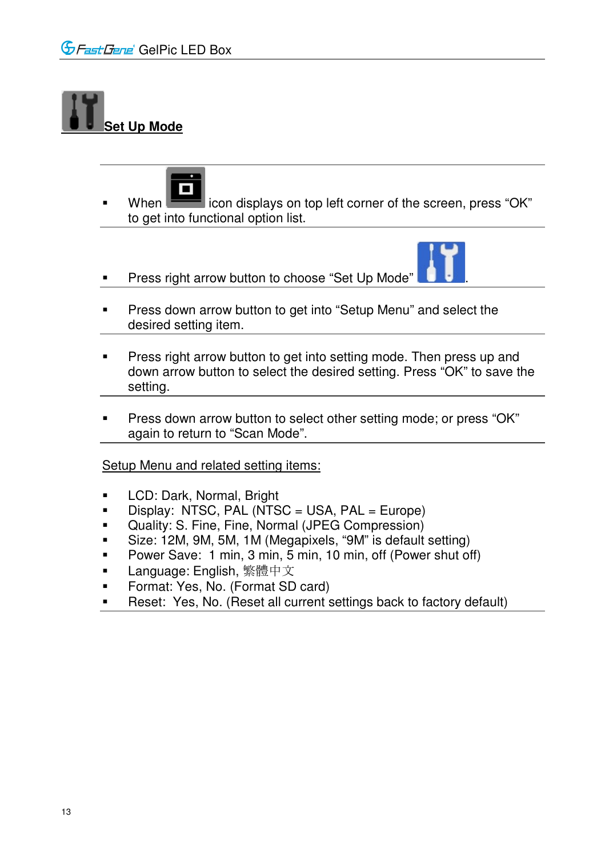



- When  $\blacksquare$  icon displays on top left corner of the screen, press "OK" to get into functional option list.
- Press right arrow button to choose "Set Up Mode"
- **Press down arrow button to get into "Setup Menu" and select the** desired setting item.
- Press right arrow button to get into setting mode. Then press up and down arrow button to select the desired setting. Press "OK" to save the setting.
- Press down arrow button to select other setting mode; or press "OK" again to return to "Scan Mode".

Setup Menu and related setting items:

- LCD: Dark, Normal, Bright
- $\blacksquare$  Display: NTSC, PAL (NTSC = USA, PAL = Europe)
- Quality: S. Fine, Fine, Normal (JPEG Compression)
- Size: 12M, 9M, 5M, 1M (Megapixels, "9M" is default setting)
- Power Save: 1 min, 3 min, 5 min, 10 min, off (Power shut off)
- Language: English, 繁體中文
- Format: Yes, No. (Format SD card)
- **Reset: Yes, No. (Reset all current settings back to factory default)**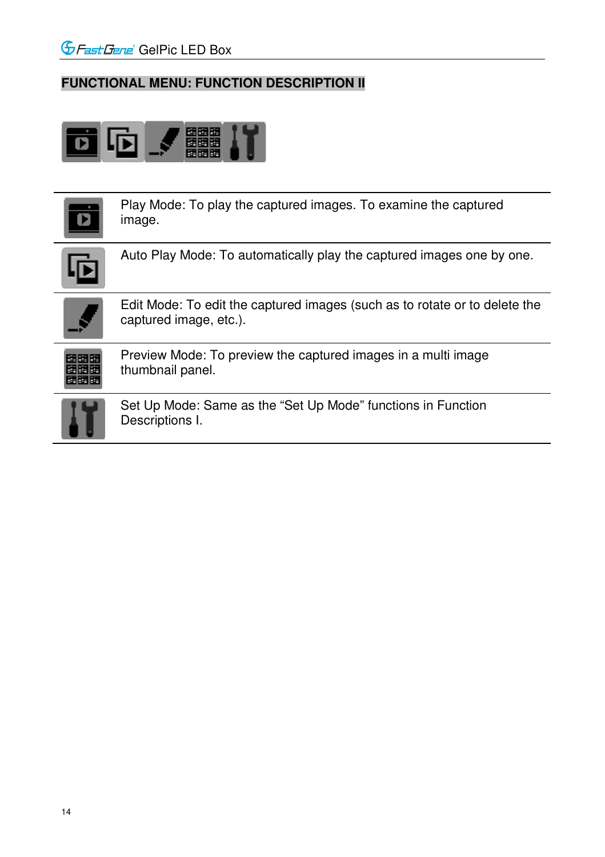## **FUNCTIONAL MENU: FUNCTION DESCRIPTION II**



Play Mode: To play the captured images. To examine the captured mage.



Auto Play Mode: To automatically play the captured images one by one.



Edit Mode: To edit the captured images (such as to rotate or to delete the captured image, etc.).



Preview Mode: To preview the captured images in a multi image thumbnail panel.



Set Up Mode: Same as the "Set Up Mode" functions in Function Descriptions I.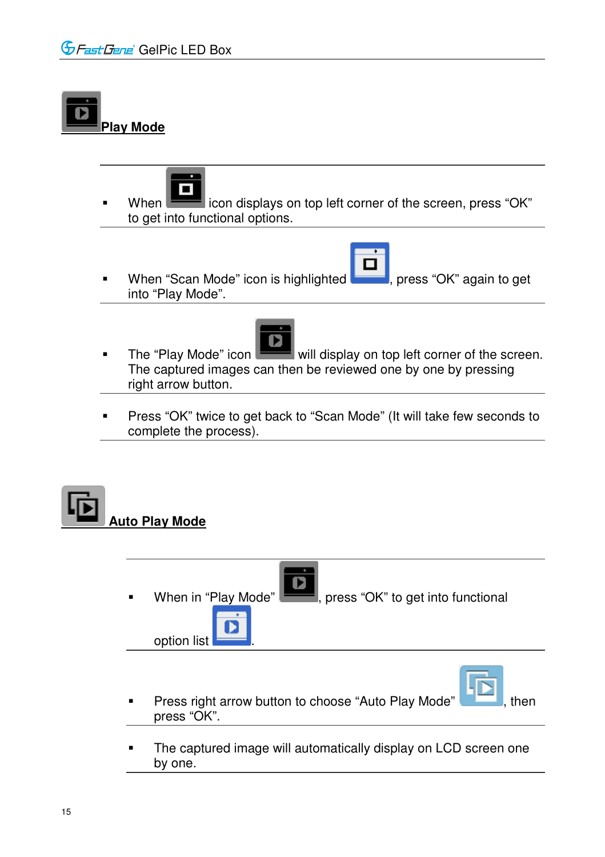



- When  $\Box$  icon displays on top left corner of the screen, press "OK" to get into functional options.
- When "Scan Mode" icon is highlighted , press "OK" again to get into "Play Mode".



- The "Play Mode" icon will display on top left corner of the screen. The captured images can then be reviewed one by one by pressing right arrow button.
- Press "OK" twice to get back to "Scan Mode" (It will take few seconds to complete the process).



by one.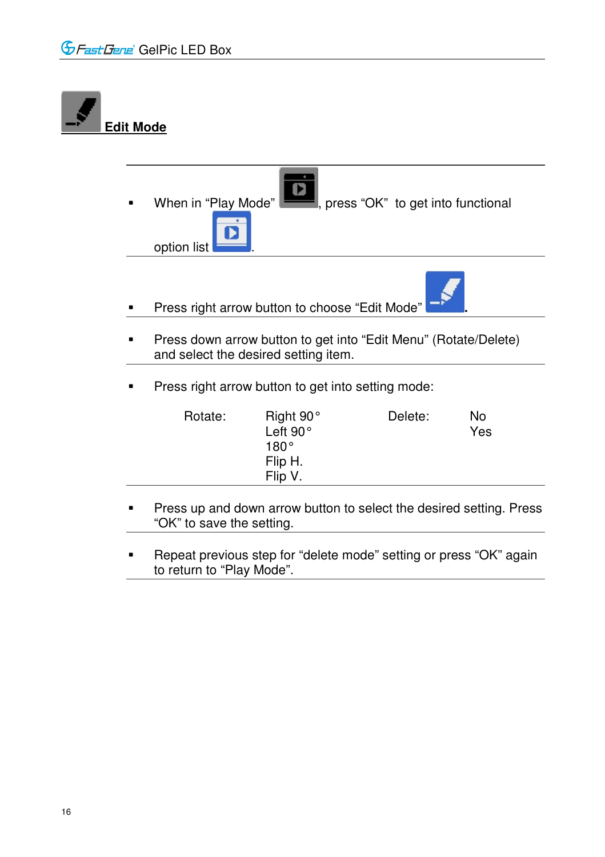

 Repeat previous step for "delete mode" setting or press "OK" again to return to "Play Mode".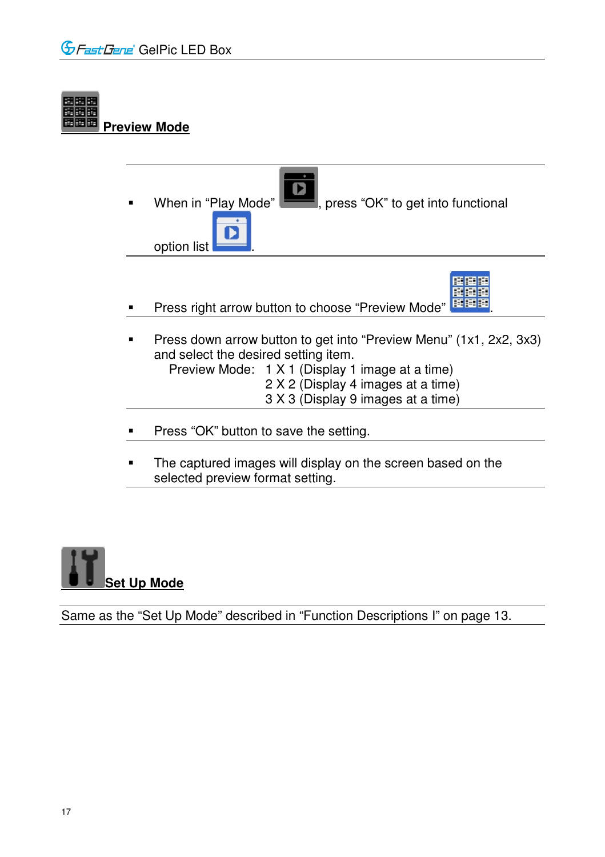



Same as the "Set Up Mode" described in "Function Descriptions I" on page 13.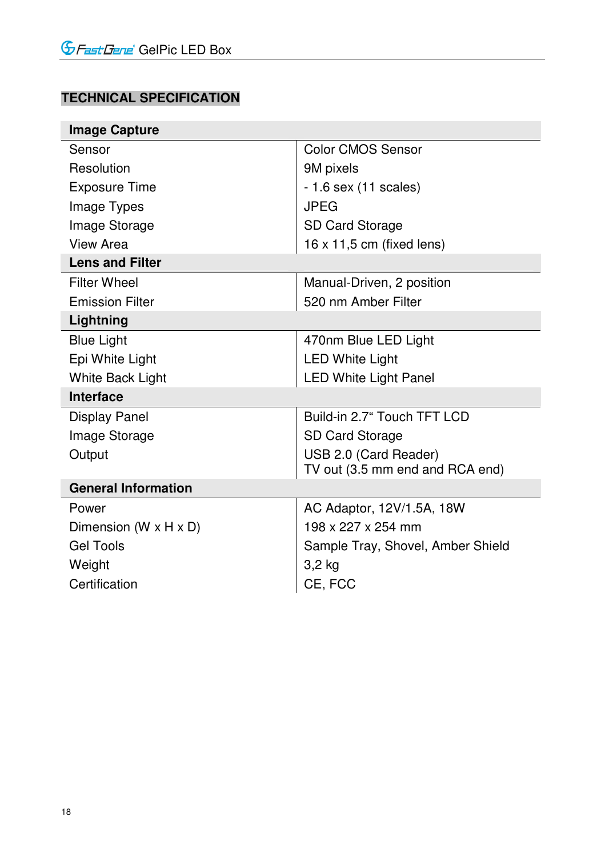## **TECHNICAL SPECIFICATION**

| <b>Image Capture</b>                |                                   |
|-------------------------------------|-----------------------------------|
| Sensor                              | <b>Color CMOS Sensor</b>          |
| Resolution                          | 9M pixels                         |
| <b>Exposure Time</b>                | $-1.6$ sex (11 scales)            |
| Image Types                         | <b>JPEG</b>                       |
| Image Storage                       | SD Card Storage                   |
| View Area                           | 16 x 11,5 cm (fixed lens)         |
| <b>Lens and Filter</b>              |                                   |
| <b>Filter Wheel</b>                 | Manual-Driven, 2 position         |
| <b>Emission Filter</b>              | 520 nm Amber Filter               |
| Lightning                           |                                   |
| <b>Blue Light</b>                   | 470nm Blue LED Light              |
| Epi White Light                     | <b>LED White Light</b>            |
| White Back Light                    | <b>LED White Light Panel</b>      |
| <b>Interface</b>                    |                                   |
| Display Panel                       | Build-in 2.7" Touch TFT LCD       |
| Image Storage                       | SD Card Storage                   |
| Output                              | USB 2.0 (Card Reader)             |
|                                     | TV out (3.5 mm end and RCA end)   |
| <b>General Information</b>          |                                   |
| Power                               | AC Adaptor, 12V/1.5A, 18W         |
| Dimension (W $\times$ H $\times$ D) | 198 x 227 x 254 mm                |
| <b>Gel Tools</b>                    | Sample Tray, Shovel, Amber Shield |
| Weight                              | 3.2 kg                            |
| Certification                       | CE, FCC                           |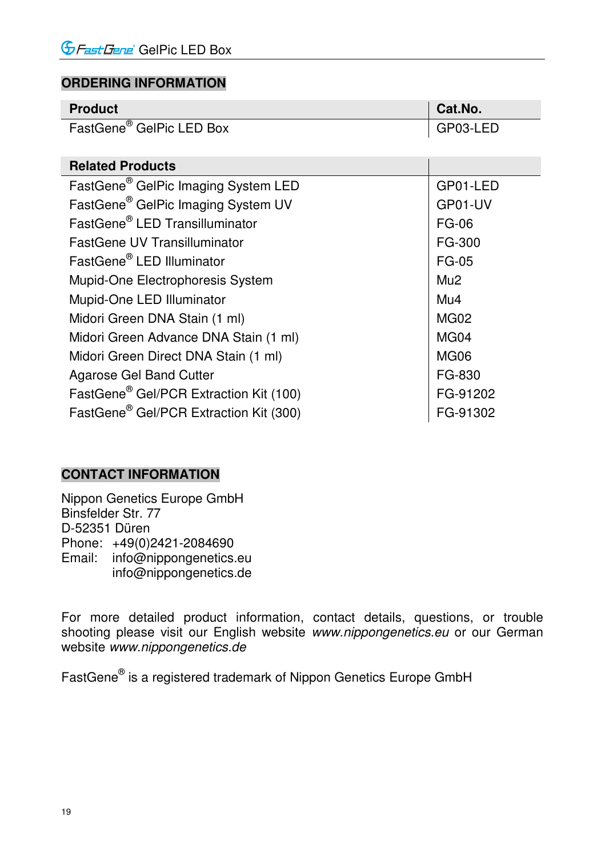## **ORDERING INFORMATION**

| <b>Product</b>                                     | Cat.No.          |
|----------------------------------------------------|------------------|
| FastGene <sup>®</sup> GelPic LED Box               | GP03-LED         |
|                                                    |                  |
| <b>Related Products</b>                            |                  |
| FastGene <sup>®</sup> GelPic Imaging System LED    | GP01-LED         |
| FastGene <sup>®</sup> GelPic Imaging System UV     | GP01-UV          |
| FastGene® LED Transilluminator                     | <b>FG-06</b>     |
| FastGene UV Transilluminator                       | FG-300           |
| FastGene <sup>®</sup> LED Illuminator              | FG-05            |
| Mupid-One Electrophoresis System                   | Mu <sub>2</sub>  |
| Mupid-One LED Illuminator                          | Mu4              |
| Midori Green DNA Stain (1 ml)                      | MG <sub>02</sub> |
| Midori Green Advance DNA Stain (1 ml)              | MG04             |
| Midori Green Direct DNA Stain (1 ml)               | MG06             |
| Agarose Gel Band Cutter                            | FG-830           |
| FastGene <sup>®</sup> Gel/PCR Extraction Kit (100) | FG-91202         |
| FastGene <sup>®</sup> Gel/PCR Extraction Kit (300) | FG-91302         |

#### **CONTACT INFORMATION**

Nippon Genetics Europe GmbH Binsfelder Str. 77 D-52351 Düren Phone: +49(0)2421-2084690<br>Email: info@nippongenetics. info@nippongenetics.eu info@nippongenetics.de

For more detailed product information, contact details, questions, or trouble shooting please visit our English website *www.nippongenetics.eu* or our German website *www.nippongenetics.de*

FastGene® is a registered trademark of Nippon Genetics Europe GmbH